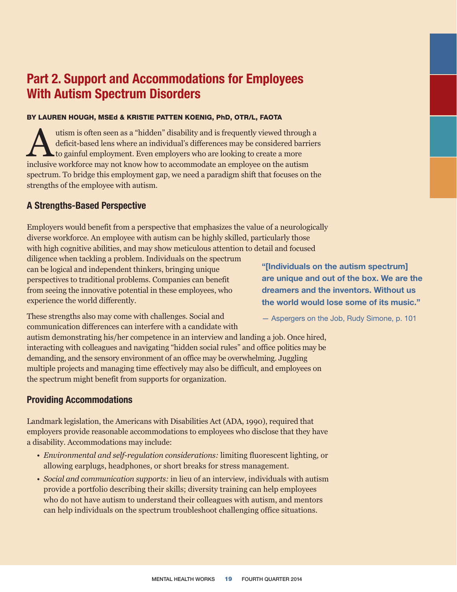# **Part 2. Support and Accommodations for Employees With Autism Spectrum Disorders**

### BY LAUREN HOUGH, MSEd & KRISTIE PATTEN KOENIG, PhD, OTR/L, FAOTA

utism is often seen as a "hidden" disability and is frequently viewed through a<br>deficit-based lens where an individual's differences may be considered barrier<br>to gainful employment. Even employers who are looking to create deficit-based lens where an individual's differences may be considered barriers to gainful employment. Even employers who are looking to create a more inclusive workforce may not know how to accommodate an employee on the autism spectrum. To bridge this employment gap, we need a paradigm shift that focuses on the strengths of the employee with autism.

## **A Strengths-Based Perspective**

Employers would benefit from a perspective that emphasizes the value of a neurologically diverse workforce. An employee with autism can be highly skilled, particularly those with high cognitive abilities, and may show meticulous attention to detail and focused

diligence when tackling a problem. Individuals on the spectrum can be logical and independent thinkers, bringing unique perspectives to traditional problems. Companies can benefit from seeing the innovative potential in these employees, who experience the world differently.

**"[Individuals on the autism spectrum] are unique and out of the box. We are the dreamers and the inventors. Without us the world would lose some of its music."**

These strengths also may come with challenges. Social and communication differences can interfere with a candidate with

autism demonstrating his/her competence in an interview and landing a job. Once hired, interacting with colleagues and navigating "hidden social rules" and office politics may be demanding, and the sensory environment of an office may be overwhelming. Juggling multiple projects and managing time effectively may also be difficult, and employees on the spectrum might benefit from supports for organization.

# **Providing Accommodations**

Landmark legislation, the Americans with Disabilities Act (ADA, 1990), required that employers provide reasonable accommodations to employees who disclose that they have a disability. Accommodations may include:

- *Environmental and self-regulation considerations:* limiting fluorescent lighting, or allowing earplugs, headphones, or short breaks for stress management.
- *Social and communication supports:* in lieu of an interview, individuals with autism provide a portfolio describing their skills; diversity training can help employees who do not have autism to understand their colleagues with autism, and mentors can help individuals on the spectrum troubleshoot challenging office situations.

— Aspergers on the Job, Rudy Simone, p. 101